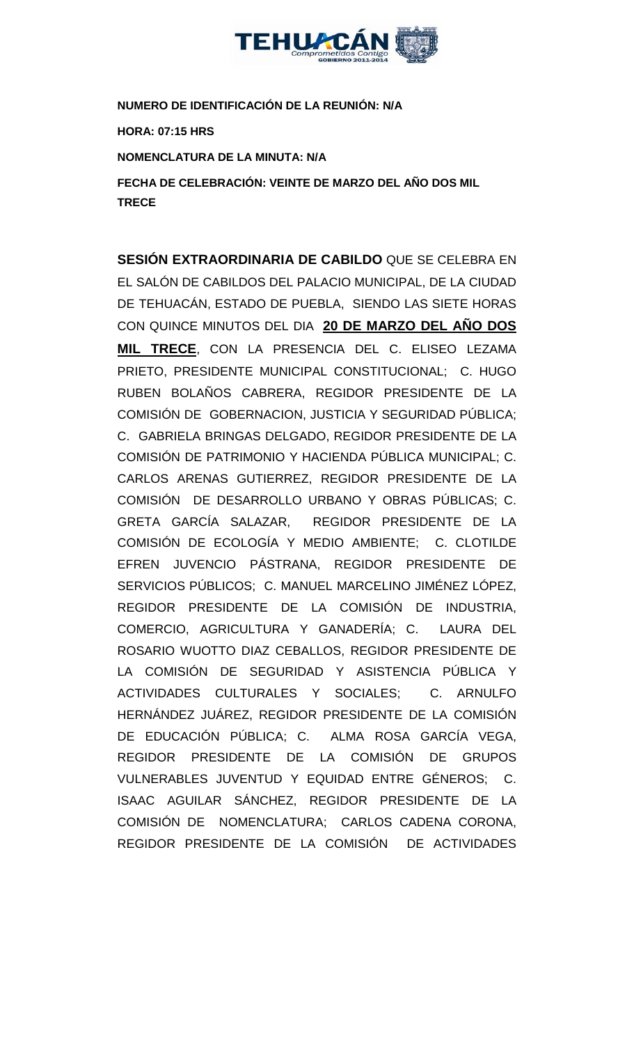

**NUMERO DE IDENTIFICACIÓN DE LA REUNIÓN: N/A**

**HORA: 07:15 HRS**

**NOMENCLATURA DE LA MINUTA: N/A**

**FECHA DE CELEBRACIÓN: VEINTE DE MARZO DEL AÑO DOS MIL TRECE** 

**SESIÓN EXTRAORDINARIA DE CABILDO** QUE SE CELEBRA EN EL SALÓN DE CABILDOS DEL PALACIO MUNICIPAL, DE LA CIUDAD DE TEHUACÁN, ESTADO DE PUEBLA, SIENDO LAS SIETE HORAS CON QUINCE MINUTOS DEL DIA **20 DE MARZO DEL AÑO DOS MIL TRECE**, CON LA PRESENCIA DEL C. ELISEO LEZAMA PRIETO, PRESIDENTE MUNICIPAL CONSTITUCIONAL; C. HUGO RUBEN BOLAÑOS CABRERA, REGIDOR PRESIDENTE DE LA COMISIÓN DE GOBERNACION, JUSTICIA Y SEGURIDAD PÚBLICA; C. GABRIELA BRINGAS DELGADO, REGIDOR PRESIDENTE DE LA COMISIÓN DE PATRIMONIO Y HACIENDA PÚBLICA MUNICIPAL; C. CARLOS ARENAS GUTIERREZ, REGIDOR PRESIDENTE DE LA COMISIÓN DE DESARROLLO URBANO Y OBRAS PÚBLICAS; C. GRETA GARCÍA SALAZAR, REGIDOR PRESIDENTE DE LA COMISIÓN DE ECOLOGÍA Y MEDIO AMBIENTE; C. CLOTILDE EFREN JUVENCIO PÁSTRANA, REGIDOR PRESIDENTE DE SERVICIOS PÚBLICOS; C. MANUEL MARCELINO JIMÉNEZ LÓPEZ, REGIDOR PRESIDENTE DE LA COMISIÓN DE INDUSTRIA, COMERCIO, AGRICULTURA Y GANADERÍA; C. LAURA DEL ROSARIO WUOTTO DIAZ CEBALLOS, REGIDOR PRESIDENTE DE LA COMISIÓN DE SEGURIDAD Y ASISTENCIA PÚBLICA Y ACTIVIDADES CULTURALES Y SOCIALES; C. ARNULFO HERNÁNDEZ JUÁREZ, REGIDOR PRESIDENTE DE LA COMISIÓN DE EDUCACIÓN PÚBLICA; C. ALMA ROSA GARCÍA VEGA, REGIDOR PRESIDENTE DE LA COMISIÓN DE GRUPOS VULNERABLES JUVENTUD Y EQUIDAD ENTRE GÉNEROS; C. ISAAC AGUILAR SÁNCHEZ, REGIDOR PRESIDENTE DE LA COMISIÓN DE NOMENCLATURA; CARLOS CADENA CORONA, REGIDOR PRESIDENTE DE LA COMISIÓN DE ACTIVIDADES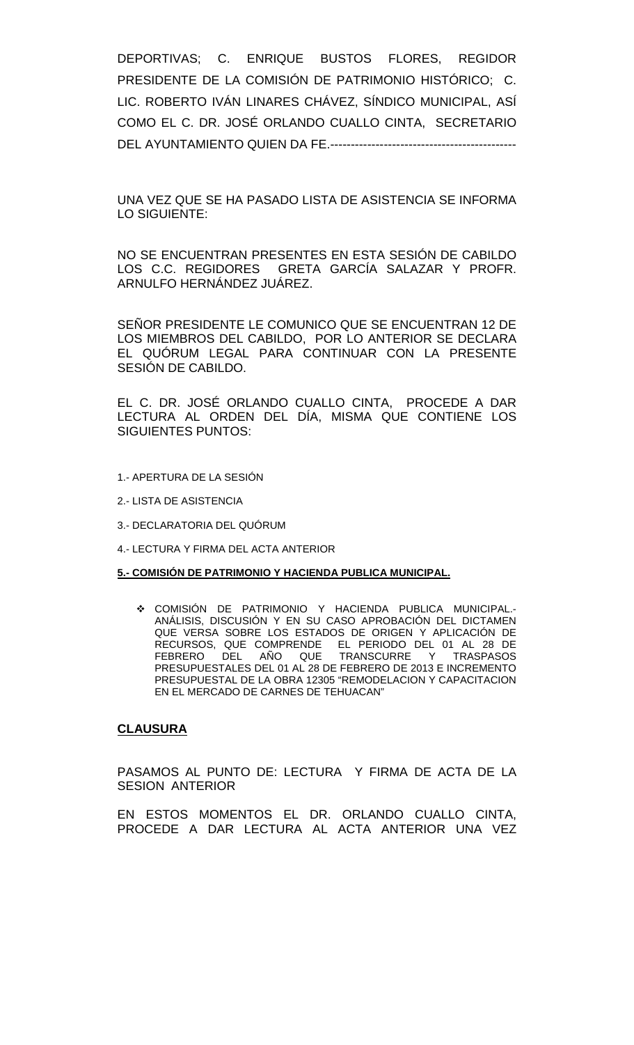DEPORTIVAS; C. ENRIQUE BUSTOS FLORES, REGIDOR PRESIDENTE DE LA COMISIÓN DE PATRIMONIO HISTÓRICO; C. LIC. ROBERTO IVÁN LINARES CHÁVEZ, SÍNDICO MUNICIPAL, ASÍ COMO EL C. DR. JOSÉ ORLANDO CUALLO CINTA, SECRETARIO DEL AYUNTAMIENTO QUIEN DA FE.---------------------------------------------

UNA VEZ QUE SE HA PASADO LISTA DE ASISTENCIA SE INFORMA LO SIGUIENTE:

NO SE ENCUENTRAN PRESENTES EN ESTA SESIÓN DE CABILDO LOS C.C. REGIDORES GRETA GARCÍA SALAZAR Y PROFR. ARNULFO HERNÁNDEZ JUÁREZ.

SEÑOR PRESIDENTE LE COMUNICO QUE SE ENCUENTRAN 12 DE LOS MIEMBROS DEL CABILDO, POR LO ANTERIOR SE DECLARA EL QUÓRUM LEGAL PARA CONTINUAR CON LA PRESENTE SESIÓN DE CABILDO.

EL C. DR. JOSÉ ORLANDO CUALLO CINTA, PROCEDE A DAR LECTURA AL ORDEN DEL DÍA, MISMA QUE CONTIENE LOS SIGUIENTES PUNTOS:

- 1.- APERTURA DE LA SESIÓN
- 2.- LISTA DE ASISTENCIA
- 3.- DECLARATORIA DEL QUÓRUM
- 4.- LECTURA Y FIRMA DEL ACTA ANTERIOR

#### **5.- COMISIÓN DE PATRIMONIO Y HACIENDA PUBLICA MUNICIPAL.**

 COMISIÓN DE PATRIMONIO Y HACIENDA PUBLICA MUNICIPAL.- ANÁLISIS, DISCUSIÓN Y EN SU CASO APROBACIÓN DEL DICTAMEN QUE VERSA SOBRE LOS ESTADOS DE ORIGEN Y APLICACIÓN DE RECURSOS, QUE COMPRENDE EL PERIODO DEL 01 AL 28 DE FEBRERO DEL AÑO QUE TRANSCURRE Y TRASPASOS PRESUPUESTALES DEL 01 AL 28 DE FEBRERO DE 2013 E INCREMENTO PRESUPUESTAL DE LA OBRA 12305 "REMODELACION Y CAPACITACION EN EL MERCADO DE CARNES DE TEHUACAN"

#### **CLAUSURA**

PASAMOS AL PUNTO DE: LECTURA Y FIRMA DE ACTA DE LA SESION ANTERIOR

EN ESTOS MOMENTOS EL DR. ORLANDO CUALLO CINTA, PROCEDE A DAR LECTURA AL ACTA ANTERIOR UNA VEZ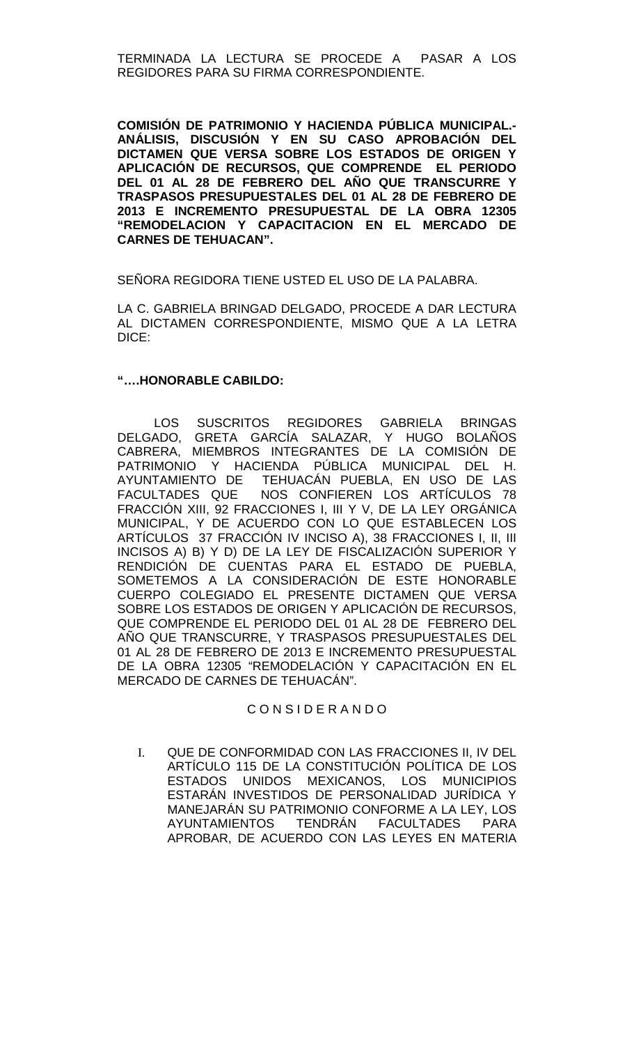### TERMINADA LA LECTURA SE PROCEDE A PASAR A LOS REGIDORES PARA SU FIRMA CORRESPONDIENTE.

**COMISIÓN DE PATRIMONIO Y HACIENDA PÚBLICA MUNICIPAL.- ANÁLISIS, DISCUSIÓN Y EN SU CASO APROBACIÓN DEL DICTAMEN QUE VERSA SOBRE LOS ESTADOS DE ORIGEN Y APLICACIÓN DE RECURSOS, QUE COMPRENDE EL PERIODO DEL 01 AL 28 DE FEBRERO DEL AÑO QUE TRANSCURRE Y TRASPASOS PRESUPUESTALES DEL 01 AL 28 DE FEBRERO DE 2013 E INCREMENTO PRESUPUESTAL DE LA OBRA 12305 "REMODELACION Y CAPACITACION EN EL MERCADO DE CARNES DE TEHUACAN".**

SEÑORA REGIDORA TIENE USTED EL USO DE LA PALABRA.

LA C. GABRIELA BRINGAD DELGADO, PROCEDE A DAR LECTURA AL DICTAMEN CORRESPONDIENTE, MISMO QUE A LA LETRA DICE:

## **"….HONORABLE CABILDO:**

LOS SUSCRITOS REGIDORES GABRIELA BRINGAS DELGADO, GRETA GARCÍA SALAZAR, Y HUGO BOLAÑOS CABRERA, MIEMBROS INTEGRANTES DE LA COMISIÓN DE PATRIMONIO Y HACIENDA PÚBLICA MUNICIPAL DEL H. AYUNTAMIENTO DE TEHUACÁN PUEBLA, EN USO DE LAS FACULTADES QUE NOS CONFIEREN LOS ARTÍCULOS 78 FRACCIÓN XIII, 92 FRACCIONES I, III Y V, DE LA LEY ORGÁNICA MUNICIPAL, Y DE ACUERDO CON LO QUE ESTABLECEN LOS ARTÍCULOS 37 FRACCIÓN IV INCISO A), 38 FRACCIONES I, II, III INCISOS A) B) Y D) DE LA LEY DE FISCALIZACIÓN SUPERIOR Y RENDICIÓN DE CUENTAS PARA EL ESTADO DE PUEBLA, SOMETEMOS A LA CONSIDERACIÓN DE ESTE HONORABLE CUERPO COLEGIADO EL PRESENTE DICTAMEN QUE VERSA SOBRE LOS ESTADOS DE ORIGEN Y APLICACIÓN DE RECURSOS, QUE COMPRENDE EL PERIODO DEL 01 AL 28 DE FEBRERO DEL AÑO QUE TRANSCURRE, Y TRASPASOS PRESUPUESTALES DEL 01 AL 28 DE FEBRERO DE 2013 E INCREMENTO PRESUPUESTAL DE LA OBRA 12305 "REMODELACIÓN Y CAPACITACIÓN EN EL MERCADO DE CARNES DE TEHUACÁN".

# C O N S I D E R A N D O

I. QUE DE CONFORMIDAD CON LAS FRACCIONES II, IV DEL ARTÍCULO 115 DE LA CONSTITUCIÓN POLÍTICA DE LOS ESTADOS UNIDOS MEXICANOS, LOS MUNICIPIOS ESTARÁN INVESTIDOS DE PERSONALIDAD JURÍDICA Y MANEJARÁN SU PATRIMONIO CONFORME A LA LEY, LOS AYUNTAMIENTOS TENDRÁN FACULTADES PARA APROBAR, DE ACUERDO CON LAS LEYES EN MATERIA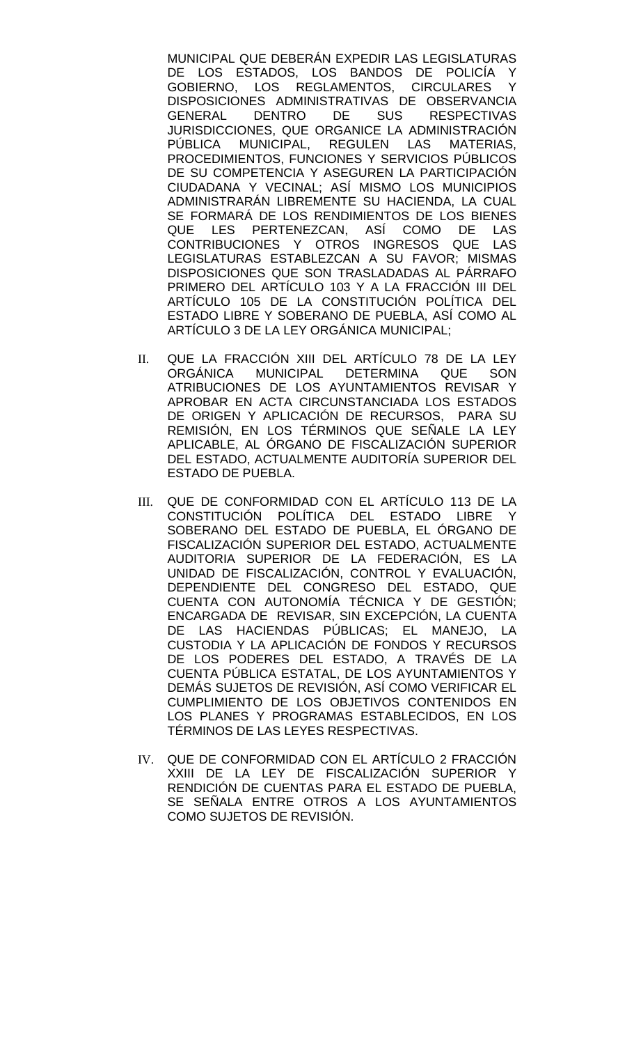MUNICIPAL QUE DEBERÁN EXPEDIR LAS LEGISLATURAS DE LOS ESTADOS, LOS BANDOS DE POLICÍA Y<br>GOBIERNO. LOS REGLAMENTOS. CIRCULARES Y LOS REGLAMENTOS, CIRCULARES Y DISPOSICIONES ADMINISTRATIVAS DE OBSERVANCIA<br>GENERAL DENTRO DE SUS RESPECTIVAS **RESPECTIVAS** JURISDICCIONES, QUE ORGANICE LA ADMINISTRACIÓN<br>PÚBLICA MUNICIPAL. REGULEN LAS MATERIAS, PÚBLICA MUNICIPAL, REGULEN LAS PROCEDIMIENTOS, FUNCIONES Y SERVICIOS PÚBLICOS DE SU COMPETENCIA Y ASEGUREN LA PARTICIPACIÓN CIUDADANA Y VECINAL; ASÍ MISMO LOS MUNICIPIOS ADMINISTRARÁN LIBREMENTE SU HACIENDA, LA CUAL SE FORMARÁ DE LOS RENDIMIENTOS DE LOS BIENES QUE LES PERTENEZCAN, ASÍ COMO DE LAS CONTRIBUCIONES Y OTROS INGRESOS QUE LAS LEGISLATURAS ESTABLEZCAN A SU FAVOR; MISMAS DISPOSICIONES QUE SON TRASLADADAS AL PÁRRAFO PRIMERO DEL ARTÍCULO 103 Y A LA FRACCIÓN III DEL ARTÍCULO 105 DE LA CONSTITUCIÓN POLÍTICA DEL ESTADO LIBRE Y SOBERANO DE PUEBLA, ASÍ COMO AL ARTÍCULO 3 DE LA LEY ORGÁNICA MUNICIPAL;

- II. QUE LA FRACCIÓN XIII DEL ARTÍCULO 78 DE LA LEY ORGÁNICA MUNICIPAL DETERMINA QUE SON ATRIBUCIONES DE LOS AYUNTAMIENTOS REVISAR Y APROBAR EN ACTA CIRCUNSTANCIADA LOS ESTADOS DE ORIGEN Y APLICACIÓN DE RECURSOS, PARA SU REMISIÓN, EN LOS TÉRMINOS QUE SEÑALE LA LEY APLICABLE, AL ÓRGANO DE FISCALIZACIÓN SUPERIOR DEL ESTADO, ACTUALMENTE AUDITORÍA SUPERIOR DEL ESTADO DE PUEBLA.
- III. QUE DE CONFORMIDAD CON EL ARTÍCULO 113 DE LA<br>CONSTITUCIÓN POLÍTICA DEL ESTADO LIBRE Y CONSTITUCIÓN POLÍTICA DEL ESTADO LIBRE SOBERANO DEL ESTADO DE PUEBLA, EL ÓRGANO DE FISCALIZACIÓN SUPERIOR DEL ESTADO, ACTUALMENTE AUDITORIA SUPERIOR DE LA FEDERACIÓN, ES LA UNIDAD DE FISCALIZACIÓN, CONTROL Y EVALUACIÓN, DEPENDIENTE DEL CONGRESO DEL ESTADO, QUE CUENTA CON AUTONOMÍA TÉCNICA Y DE GESTIÓN; ENCARGADA DE REVISAR, SIN EXCEPCIÓN, LA CUENTA DE LAS HACIENDAS PÚBLICAS; EL MANEJO, LA CUSTODIA Y LA APLICACIÓN DE FONDOS Y RECURSOS DE LOS PODERES DEL ESTADO, A TRAVÉS DE LA CUENTA PÚBLICA ESTATAL, DE LOS AYUNTAMIENTOS Y DEMÁS SUJETOS DE REVISIÓN, ASÍ COMO VERIFICAR EL CUMPLIMIENTO DE LOS OBJETIVOS CONTENIDOS EN LOS PLANES Y PROGRAMAS ESTABLECIDOS, EN LOS TÉRMINOS DE LAS LEYES RESPECTIVAS.
- IV. QUE DE CONFORMIDAD CON EL ARTÍCULO 2 FRACCIÓN XXIII DE LA LEY DE FISCALIZACIÓN SUPERIOR Y RENDICIÓN DE CUENTAS PARA EL ESTADO DE PUEBLA, SE SEÑALA ENTRE OTROS A LOS AYUNTAMIENTOS COMO SUJETOS DE REVISIÓN.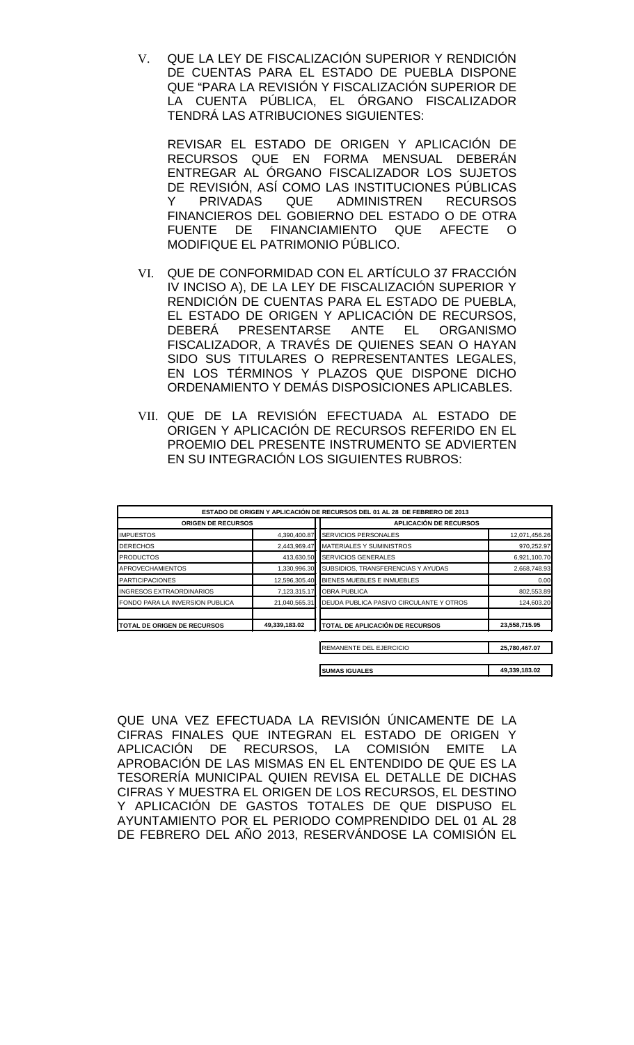V. QUE LA LEY DE FISCALIZACIÓN SUPERIOR Y RENDICIÓN DE CUENTAS PARA EL ESTADO DE PUEBLA DISPONE QUE "PARA LA REVISIÓN Y FISCALIZACIÓN SUPERIOR DE LA CUENTA PÚBLICA, EL ÓRGANO FISCALIZADOR TENDRÁ LAS ATRIBUCIONES SIGUIENTES:

REVISAR EL ESTADO DE ORIGEN Y APLICACIÓN DE RECURSOS QUE EN FORMA MENSUAL DEBERÁN ENTREGAR AL ÓRGANO FISCALIZADOR LOS SUJETOS DE REVISIÓN, ASÍ COMO LAS INSTITUCIONES PÚBLICAS Y PRIVADAS QUE ADMINISTREN RECURSOS FINANCIEROS DEL GOBIERNO DEL ESTADO O DE OTRA FUENTE DE FINANCIAMIENTO QUE AFECTE O MODIFIQUE EL PATRIMONIO PÚBLICO.

- VI. QUE DE CONFORMIDAD CON EL ARTÍCULO 37 FRACCIÓN IV INCISO A), DE LA LEY DE FISCALIZACIÓN SUPERIOR Y RENDICIÓN DE CUENTAS PARA EL ESTADO DE PUEBLA, EL ESTADO DE ORIGEN Y APLICACIÓN DE RECURSOS, DEBERÁ PRESENTARSE ANTE EL ORGANISMO FISCALIZADOR, A TRAVÉS DE QUIENES SEAN O HAYAN SIDO SUS TITULARES O REPRESENTANTES LEGALES, EN LOS TÉRMINOS Y PLAZOS QUE DISPONE DICHO ORDENAMIENTO Y DEMÁS DISPOSICIONES APLICABLES.
- VII. QUE DE LA REVISIÓN EFECTUADA AL ESTADO DE ORIGEN Y APLICACIÓN DE RECURSOS REFERIDO EN EL PROEMIO DEL PRESENTE INSTRUMENTO SE ADVIERTEN EN SU INTEGRACIÓN LOS SIGUIENTES RUBROS:

|                                 |               | <b>ESTADO DE ORIGEN Y APLICACIÓN DE RECURSOS DEL 01 AL 28 DE FEBRERO DE 2013</b> |               |
|---------------------------------|---------------|----------------------------------------------------------------------------------|---------------|
| <b>ORIGEN DE RECURSOS</b>       |               | <b>APLICACIÓN DE RECURSOS</b>                                                    |               |
| <b>IMPUESTOS</b>                | 4,390,400.87  | SERVICIOS PERSONALES                                                             | 12,071,456.26 |
| <b>DERECHOS</b>                 | 2,443,969.47  | <b>MATERIALES Y SUMINISTROS</b>                                                  | 970,252.97    |
| <b>PRODUCTOS</b>                | 413,630.50    | <b>SERVICIOS GENERALES</b>                                                       | 6,921,100.70  |
| <b>APROVECHAMIENTOS</b>         | 1,330,996.30  | SUBSIDIOS, TRANSFERENCIAS Y AYUDAS                                               | 2,668,748.93  |
| <b>PARTICIPACIONES</b>          | 12,596,305.40 | <b>BIENES MUEBLES E INMUEBLES</b>                                                | 0.00          |
| <b>INGRESOS EXTRAORDINARIOS</b> | 7,123,315.17  | <b>OBRA PUBLICA</b>                                                              | 802,553.89    |
| FONDO PARA LA INVERSION PUBLICA | 21,040,565.31 | DEUDA PUBLICA PASIVO CIRCULANTE Y OTROS                                          | 124,603.20    |
| TOTAL DE ORIGEN DE RECURSOS     | 49,339,183.02 | TOTAL DE APLICACIÓN DE RECURSOS                                                  | 23,558,715.95 |
|                                 |               | REMANENTE DEL EJERCICIO                                                          | 25,780,467.07 |
|                                 |               |                                                                                  |               |
|                                 |               | <b>SUMAS IGUALES</b>                                                             | 49,339,183.02 |

QUE UNA VEZ EFECTUADA LA REVISIÓN ÚNICAMENTE DE LA CIFRAS FINALES QUE INTEGRAN EL ESTADO DE ORIGEN Y APLICACIÓN DE RECURSOS, LA COMISIÓN EMITE LA APROBACIÓN DE LAS MISMAS EN EL ENTENDIDO DE QUE ES LA TESORERÍA MUNICIPAL QUIEN REVISA EL DETALLE DE DICHAS CIFRAS Y MUESTRA EL ORIGEN DE LOS RECURSOS, EL DESTINO Y APLICACIÓN DE GASTOS TOTALES DE QUE DISPUSO EL AYUNTAMIENTO POR EL PERIODO COMPRENDIDO DEL 01 AL 28 DE FEBRERO DEL AÑO 2013, RESERVÁNDOSE LA COMISIÓN EL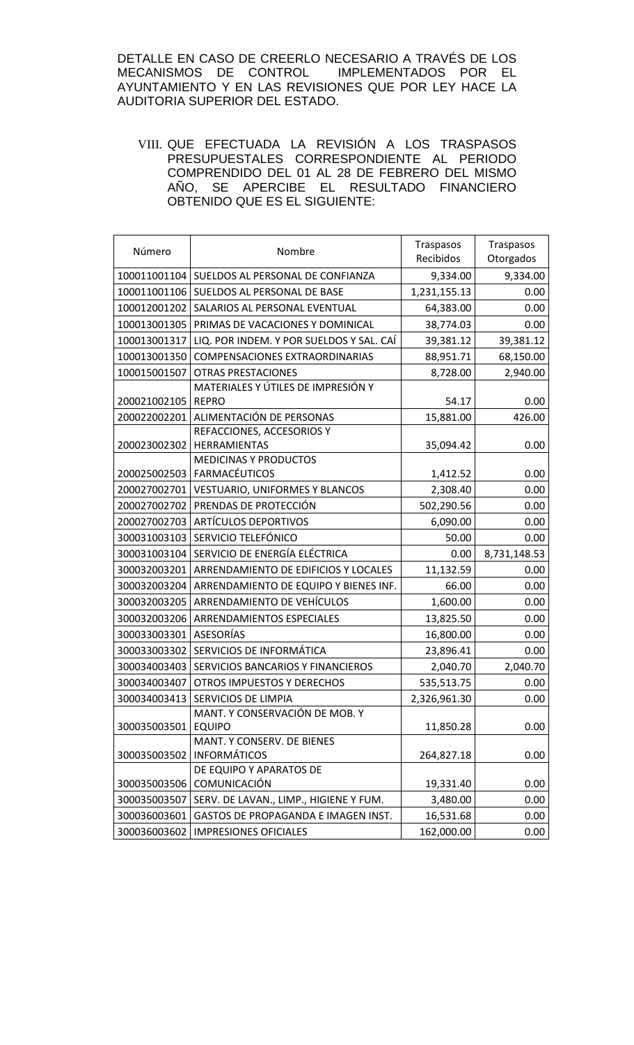DETALLE EN CASO DE CREERLO NECESARIO A TRAVÉS DE LOS MECANISMOS DE CONTROL IMPLEMENTADOS POR EL AYUNTAMIENTO Y EN LAS REVISIONES QUE POR LEY HACE LA AUDITORIA SUPERIOR DEL ESTADO.

VIII. QUE EFECTUADA LA REVISIÓN A LOS TRASPASOS PRESUPUESTALES CORRESPONDIENTE AL PERIODO COMPRENDIDO DEL 01 AL 28 DE FEBRERO DEL MISMO AÑO, SE APERCIBE EL RESULTADO FINANCIERO OBTENIDO QUE ES EL SIGUIENTE:

| Número       | Nombre                                             | Traspasos<br>Recibidos | Traspasos<br>Otorgados |
|--------------|----------------------------------------------------|------------------------|------------------------|
|              | 100011001104 SUELDOS AL PERSONAL DE CONFIANZA      | 9,334.00               | 9,334.00               |
| 100011001106 | SUELDOS AL PERSONAL DE BASE                        | 1,231,155.13           | 0.00                   |
| 100012001202 | SALARIOS AL PERSONAL EVENTUAL                      | 64,383.00              | 0.00                   |
| 100013001305 | PRIMAS DE VACACIONES Y DOMINICAL                   | 38,774.03              | 0.00                   |
| 100013001317 | LIQ. POR INDEM. Y POR SUELDOS Y SAL. CAÍ           | 39,381.12              | 39,381.12              |
| 100013001350 | <b>COMPENSACIONES EXTRAORDINARIAS</b>              | 88,951.71              | 68,150.00              |
| 100015001507 | <b>OTRAS PRESTACIONES</b>                          | 8,728.00               | 2,940.00               |
| 200021002105 | MATERIALES Y ÚTILES DE IMPRESIÓN Y<br><b>REPRO</b> | 54.17                  | 0.00                   |
| 200022002201 | ALIMENTACIÓN DE PERSONAS                           | 15,881.00              | 426.00                 |
|              | REFACCIONES, ACCESORIOS Y                          |                        |                        |
| 200023002302 | HERRAMIENTAS                                       | 35,094.42              | 0.00                   |
|              | <b>MEDICINAS Y PRODUCTOS</b>                       |                        |                        |
| 200025002503 | <b>FARMACÉUTICOS</b>                               | 1,412.52               | 0.00                   |
| 200027002701 | VESTUARIO, UNIFORMES Y BLANCOS                     | 2,308.40               | 0.00                   |
| 200027002702 | PRENDAS DE PROTECCIÓN                              | 502,290.56             | 0.00                   |
| 200027002703 | <b>ARTÍCULOS DEPORTIVOS</b>                        | 6,090.00               | 0.00                   |
| 300031003103 | SERVICIO TELEFÓNICO                                | 50.00                  | 0.00                   |
| 300031003104 | SERVICIO DE ENERGÍA ELÉCTRICA                      | 0.00                   | 8,731,148.53           |
| 300032003201 | ARRENDAMIENTO DE EDIFICIOS Y LOCALES               | 11,132.59              | 0.00                   |
| 300032003204 | ARRENDAMIENTO DE EQUIPO Y BIENES INF.              | 66.00                  | 0.00                   |
| 300032003205 | ARRENDAMIENTO DE VEHÍCULOS                         | 1,600.00               | 0.00                   |
| 300032003206 | ARRENDAMIENTOS ESPECIALES                          | 13,825.50              | 0.00                   |
| 300033003301 | <b>ASESORÍAS</b>                                   | 16,800.00              | 0.00                   |
| 300033003302 | SERVICIOS DE INFORMÁTICA                           | 23,896.41              | 0.00                   |
| 300034003403 | SERVICIOS BANCARIOS Y FINANCIEROS                  | 2,040.70               | 2,040.70               |
| 300034003407 | <b>OTROS IMPUESTOS Y DERECHOS</b>                  | 535,513.75             | 0.00                   |
|              | 300034003413   SERVICIOS DE LIMPIA                 | 2,326,961.30           | 0.00                   |
| 300035003501 | MANT. Y CONSERVACIÓN DE MOB. Y<br><b>EQUIPO</b>    | 11,850.28              | 0.00                   |
|              | MANT. Y CONSERV. DE BIENES                         |                        |                        |
| 300035003502 | <b>INFORMÁTICOS</b>                                | 264,827.18             | 0.00                   |
|              | DE EQUIPO Y APARATOS DE                            |                        |                        |
| 300035003506 | COMUNICACIÓN                                       | 19,331.40              | 0.00                   |
| 300035003507 | SERV. DE LAVAN., LIMP., HIGIENE Y FUM.             | 3,480.00               | 0.00                   |
| 300036003601 | GASTOS DE PROPAGANDA E IMAGEN INST.                | 16,531.68              | 0.00                   |
| 300036003602 | <b>IMPRESIONES OFICIALES</b>                       | 162,000.00             | 0.00                   |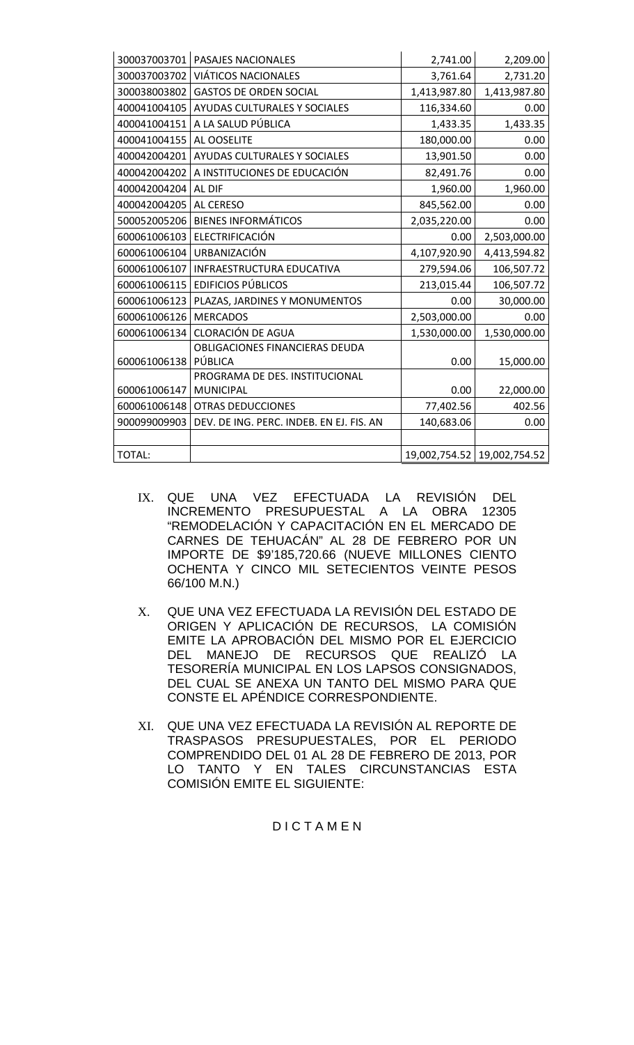| 300037003701 | PASAJES NACIONALES                        | 2,741.00     | 2,209.00                      |
|--------------|-------------------------------------------|--------------|-------------------------------|
| 300037003702 | VIÁTICOS NACIONALES                       | 3,761.64     | 2,731.20                      |
| 300038003802 | <b>GASTOS DE ORDEN SOCIAL</b>             | 1,413,987.80 | 1,413,987.80                  |
| 400041004105 | AYUDAS CULTURALES Y SOCIALES              | 116,334.60   | 0.00                          |
| 400041004151 | A LA SALUD PÚBLICA                        | 1,433.35     | 1,433.35                      |
| 400041004155 | AL OOSELITE                               | 180,000.00   | 0.00                          |
| 400042004201 | AYUDAS CULTURALES Y SOCIALES              | 13,901.50    | 0.00                          |
| 400042004202 | A INSTITUCIONES DE EDUCACIÓN              | 82,491.76    | 0.00                          |
| 400042004204 | AL DIF                                    | 1,960.00     | 1,960.00                      |
| 400042004205 | AL CERESO                                 | 845,562.00   | 0.00                          |
| 500052005206 | <b>BIENES INFORMÁTICOS</b>                | 2,035,220.00 | 0.00                          |
| 600061006103 | ELECTRIFICACIÓN                           | 0.00         | 2,503,000.00                  |
| 600061006104 | URBANIZACIÓN                              | 4,107,920.90 | 4,413,594.82                  |
| 600061006107 | INFRAESTRUCTURA EDUCATIVA                 | 279,594.06   | 106,507.72                    |
| 600061006115 | <b>EDIFICIOS PÚBLICOS</b>                 | 213,015.44   | 106,507.72                    |
| 600061006123 | PLAZAS, JARDINES Y MONUMENTOS             | 0.00         | 30,000.00                     |
| 600061006126 | <b>MERCADOS</b>                           | 2,503,000.00 | 0.00                          |
| 600061006134 | <b>CLORACIÓN DE AGUA</b>                  | 1,530,000.00 | 1,530,000.00                  |
| 600061006138 | OBLIGACIONES FINANCIERAS DEUDA<br>PÚBLICA | 0.00         | 15,000.00                     |
|              | PROGRAMA DE DES. INSTITUCIONAL            |              |                               |
| 600061006147 | <b>MUNICIPAL</b>                          | 0.00         | 22,000.00                     |
| 600061006148 | <b>OTRAS DEDUCCIONES</b>                  | 77,402.56    | 402.56                        |
| 900099009903 | DEV. DE ING. PERC. INDEB. EN EJ. FIS. AN  | 140,683.06   | 0.00                          |
|              |                                           |              |                               |
| TOTAL:       |                                           |              | 19,002,754.52   19,002,754.52 |

- IX. QUE UNA VEZ EFECTUADA LA REVISIÓN DEL INCREMENTO PRESUPUESTAL A LA OBRA 12305 "REMODELACIÓN Y CAPACITACIÓN EN EL MERCADO DE CARNES DE TEHUACÁN" AL 28 DE FEBRERO POR UN IMPORTE DE \$9'185,720.66 (NUEVE MILLONES CIENTO OCHENTA Y CINCO MIL SETECIENTOS VEINTE PESOS 66/100 M.N.)
- X. QUE UNA VEZ EFECTUADA LA REVISIÓN DEL ESTADO DE ORIGEN Y APLICACIÓN DE RECURSOS, LA COMISIÓN EMITE LA APROBACIÓN DEL MISMO POR EL EJERCICIO DEL MANEJO DE RECURSOS QUE REALIZÓ LA TESORERÍA MUNICIPAL EN LOS LAPSOS CONSIGNADOS, DEL CUAL SE ANEXA UN TANTO DEL MISMO PARA QUE CONSTE EL APÉNDICE CORRESPONDIENTE.
- XI. QUE UNA VEZ EFECTUADA LA REVISIÓN AL REPORTE DE TRASPASOS PRESUPUESTALES, POR EL PERIODO COMPRENDIDO DEL 01 AL 28 DE FEBRERO DE 2013, POR LO TANTO Y EN TALES CIRCUNSTANCIAS ESTA COMISIÓN EMITE EL SIGUIENTE:

# D I C T A M E N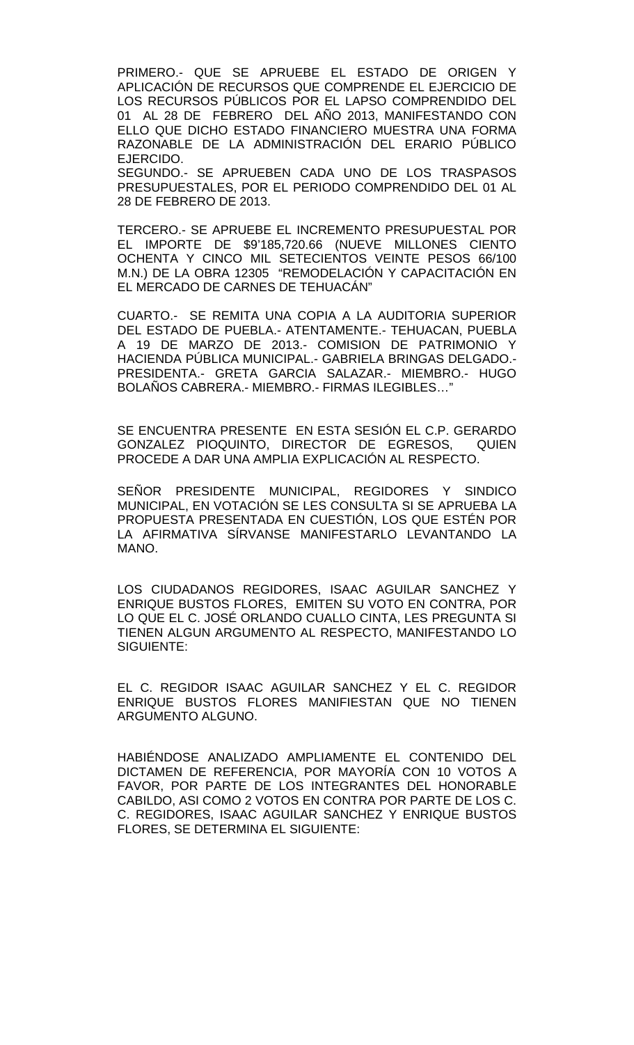PRIMERO.- QUE SE APRUEBE EL ESTADO DE ORIGEN Y APLICACIÓN DE RECURSOS QUE COMPRENDE EL EJERCICIO DE LOS RECURSOS PÚBLICOS POR EL LAPSO COMPRENDIDO DEL 01 AL 28 DE FEBRERO DEL AÑO 2013, MANIFESTANDO CON ELLO QUE DICHO ESTADO FINANCIERO MUESTRA UNA FORMA RAZONABLE DE LA ADMINISTRACIÓN DEL ERARIO PÚBLICO EJERCIDO.

SEGUNDO.- SE APRUEBEN CADA UNO DE LOS TRASPASOS PRESUPUESTALES, POR EL PERIODO COMPRENDIDO DEL 01 AL 28 DE FEBRERO DE 2013.

TERCERO.- SE APRUEBE EL INCREMENTO PRESUPUESTAL POR EL IMPORTE DE \$9'185,720.66 (NUEVE MILLONES CIENTO OCHENTA Y CINCO MIL SETECIENTOS VEINTE PESOS 66/100 M.N.) DE LA OBRA 12305 "REMODELACIÓN Y CAPACITACIÓN EN EL MERCADO DE CARNES DE TEHUACÁN"

CUARTO.- SE REMITA UNA COPIA A LA AUDITORIA SUPERIOR DEL ESTADO DE PUEBLA.- ATENTAMENTE.- TEHUACAN, PUEBLA A 19 DE MARZO DE 2013.- COMISION DE PATRIMONIO Y HACIENDA PÚBLICA MUNICIPAL.- GABRIELA BRINGAS DELGADO.- PRESIDENTA.- GRETA GARCIA SALAZAR.- MIEMBRO.- HUGO BOLAÑOS CABRERA.- MIEMBRO.- FIRMAS ILEGIBLES…"

SE ENCUENTRA PRESENTE EN ESTA SESIÓN EL C.P. GERARDO GONZALEZ PIOQUINTO, DIRECTOR DE EGRESOS, QUIEN PROCEDE A DAR UNA AMPLIA EXPLICACIÓN AL RESPECTO.

SEÑOR PRESIDENTE MUNICIPAL, REGIDORES Y SINDICO MUNICIPAL, EN VOTACIÓN SE LES CONSULTA SI SE APRUEBA LA PROPUESTA PRESENTADA EN CUESTIÓN, LOS QUE ESTÉN POR LA AFIRMATIVA SÍRVANSE MANIFESTARLO LEVANTANDO LA MANO.

LOS CIUDADANOS REGIDORES, ISAAC AGUILAR SANCHEZ Y ENRIQUE BUSTOS FLORES, EMITEN SU VOTO EN CONTRA, POR LO QUE EL C. JOSÉ ORLANDO CUALLO CINTA, LES PREGUNTA SI TIENEN ALGUN ARGUMENTO AL RESPECTO, MANIFESTANDO LO SIGUIENTE:

EL C. REGIDOR ISAAC AGUILAR SANCHEZ Y EL C. REGIDOR ENRIQUE BUSTOS FLORES MANIFIESTAN QUE NO TIENEN ARGUMENTO ALGUNO.

HABIÉNDOSE ANALIZADO AMPLIAMENTE EL CONTENIDO DEL DICTAMEN DE REFERENCIA, POR MAYORÍA CON 10 VOTOS A FAVOR, POR PARTE DE LOS INTEGRANTES DEL HONORABLE CABILDO, ASI COMO 2 VOTOS EN CONTRA POR PARTE DE LOS C. C. REGIDORES, ISAAC AGUILAR SANCHEZ Y ENRIQUE BUSTOS FLORES, SE DETERMINA EL SIGUIENTE: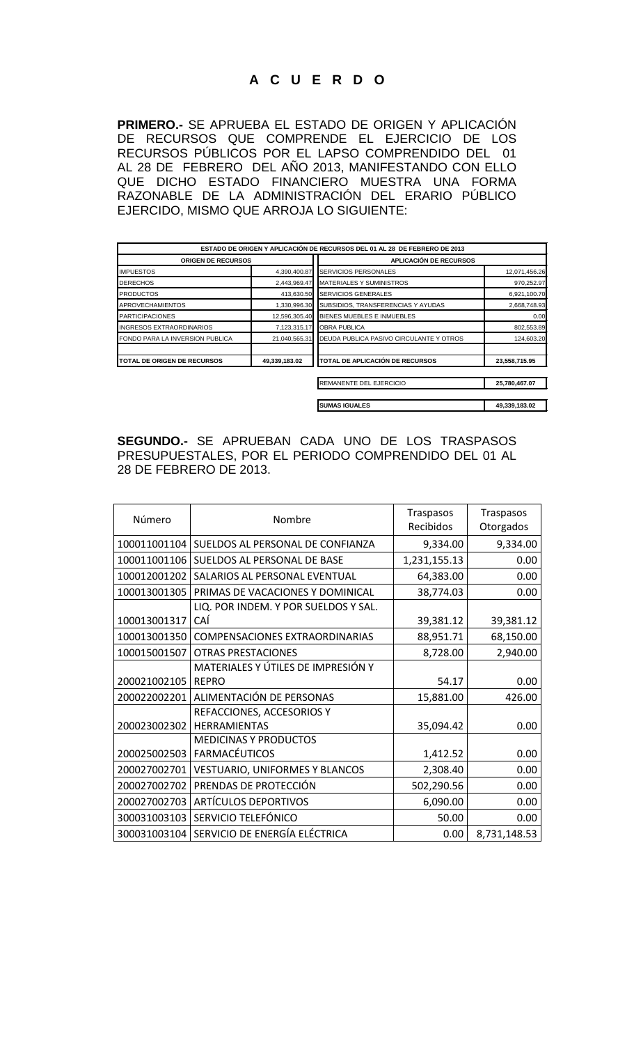# **A C U E R D O**

**PRIMERO.-** SE APRUEBA EL ESTADO DE ORIGEN Y APLICACIÓN DE RECURSOS QUE COMPRENDE EL EJERCICIO DE LOS RECURSOS PÚBLICOS POR EL LAPSO COMPRENDIDO DEL 01 AL 28 DE FEBRERO DEL AÑO 2013, MANIFESTANDO CON ELLO QUE DICHO ESTADO FINANCIERO MUESTRA UNA FORMA RAZONABLE DE LA ADMINISTRACIÓN DEL ERARIO PÚBLICO EJERCIDO, MISMO QUE ARROJA LO SIGUIENTE:

|                                    |               | ESTADO DE ORIGEN Y APLICACIÓN DE RECURSOS DEL 01 AL 28 DE FEBRERO DE 2013 |               |
|------------------------------------|---------------|---------------------------------------------------------------------------|---------------|
| <b>ORIGEN DE RECURSOS</b>          |               | <b>APLICACIÓN DE RECURSOS</b>                                             |               |
| <b>IMPUESTOS</b>                   | 4,390,400.87  | <b>SERVICIOS PERSONALES</b>                                               | 12,071,456.26 |
| <b>DERECHOS</b>                    | 2,443,969.47  | <b>MATERIALES Y SUMINISTROS</b>                                           | 970,252.97    |
| <b>PRODUCTOS</b>                   | 413.630.50    | <b>SERVICIOS GENERALES</b>                                                | 6,921,100.70  |
| <b>APROVECHAMIENTOS</b>            | 1,330,996.30  | SUBSIDIOS, TRANSFERENCIAS Y AYUDAS                                        | 2,668,748.93  |
| <b>PARTICIPACIONES</b>             | 12,596,305.40 | BIENES MUEBLES E INMUEBLES                                                | 0.00          |
| INGRESOS EXTRAORDINARIOS           | 7,123,315.17  | <b>OBRA PUBLICA</b>                                                       | 802,553.89    |
| FONDO PARA LA INVERSION PUBLICA    | 21,040,565.31 | DEUDA PUBLICA PASIVO CIRCULANTE Y OTROS                                   | 124,603.20    |
| <b>TOTAL DE ORIGEN DE RECURSOS</b> | 49,339,183.02 | TOTAL DE APLICACIÓN DE RECURSOS                                           | 23,558,715.95 |
|                                    |               | REMANENTE DEL EJERCICIO                                                   | 25,780,467.07 |
|                                    |               | <b>SUMAS IGUALES</b>                                                      | 49,339,183.02 |

**SEGUNDO.-** SE APRUEBAN CADA UNO DE LOS TRASPASOS PRESUPUESTALES, POR EL PERIODO COMPRENDIDO DEL 01 AL 28 DE FEBRERO DE 2013.

| Número       | Nombre                                | Traspasos<br>Recibidos | Traspasos<br>Otorgados |
|--------------|---------------------------------------|------------------------|------------------------|
| 100011001104 | SUELDOS AL PERSONAL DE CONFIANZA      | 9,334.00               | 9,334.00               |
| 100011001106 | SUELDOS AL PERSONAL DE BASE           | 1,231,155.13           | 0.00                   |
| 100012001202 | SALARIOS AL PERSONAL EVENTUAL         | 64,383.00              | 0.00                   |
| 100013001305 | PRIMAS DE VACACIONES Y DOMINICAL      | 38,774.03              | 0.00                   |
|              | LIQ. POR INDEM. Y POR SUELDOS Y SAL.  |                        |                        |
| 100013001317 | CAÍ                                   | 39,381.12              | 39,381.12              |
| 100013001350 | <b>COMPENSACIONES EXTRAORDINARIAS</b> | 88,951.71              | 68,150.00              |
| 100015001507 | <b>OTRAS PRESTACIONES</b>             | 8,728.00               | 2,940.00               |
|              | MATERIALES Y ÚTILES DE IMPRESIÓN Y    |                        |                        |
| 200021002105 | <b>REPRO</b>                          | 54.17                  | 0.00                   |
| 200022002201 | ALIMENTACIÓN DE PERSONAS              | 15,881.00              | 426.00                 |
|              | REFACCIONES, ACCESORIOS Y             |                        |                        |
| 200023002302 | <b>HERRAMIENTAS</b>                   | 35,094.42              | 0.00                   |
|              | <b>MEDICINAS Y PRODUCTOS</b>          |                        |                        |
| 200025002503 | <b>FARMACÉUTICOS</b>                  | 1,412.52               | 0.00                   |
| 200027002701 | VESTUARIO, UNIFORMES Y BLANCOS        | 2,308.40               | 0.00                   |
| 200027002702 | PRENDAS DE PROTECCIÓN                 | 502,290.56             | 0.00                   |
| 200027002703 | <b>ARTÍCULOS DEPORTIVOS</b>           | 6,090.00               | 0.00                   |
| 300031003103 | SERVICIO TELEFÓNICO                   | 50.00                  | 0.00                   |
| 300031003104 | SERVICIO DE ENERGÍA ELÉCTRICA         | 0.00                   | 8,731,148.53           |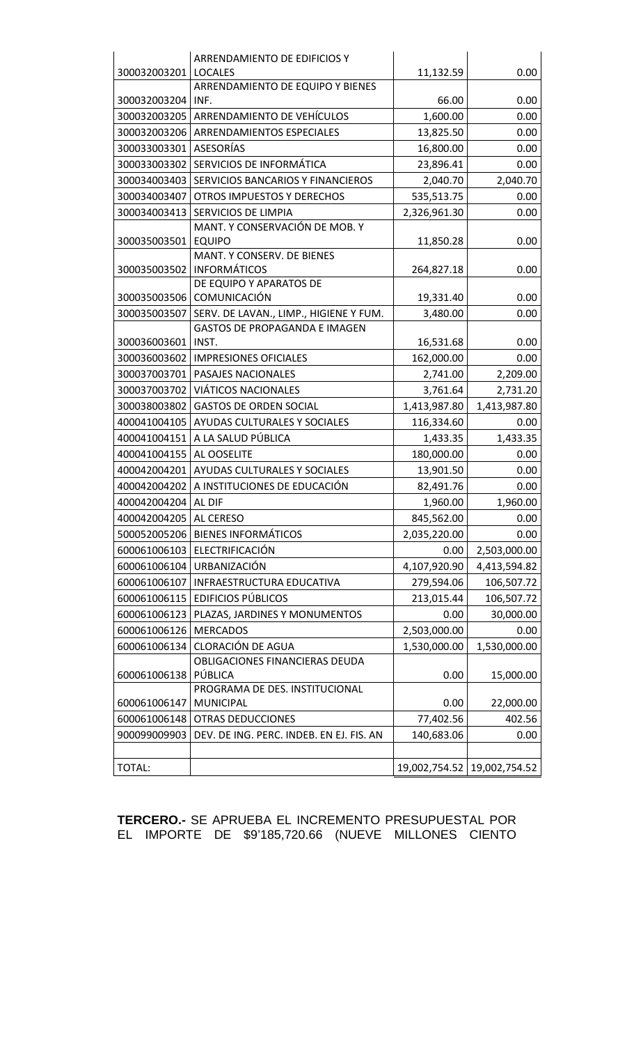| ARRENDAMIENTO DE EDIFICIOS Y<br>300032003201<br>11,132.59<br><b>LOCALES</b><br>0.00<br>ARRENDAMIENTO DE EQUIPO Y BIENES<br>300032003204<br>INF.<br>66.00<br>0.00<br>ARRENDAMIENTO DE VEHÍCULOS<br>300032003205<br>1,600.00<br>0.00<br>300032003206<br>ARRENDAMIENTOS ESPECIALES<br>0.00<br>13,825.50<br><b>ASESORÍAS</b><br>300033003301<br>0.00<br>16,800.00<br>SERVICIOS DE INFORMÁTICA<br>300033003302<br>23,896.41<br>0.00<br>300034003403<br>SERVICIOS BANCARIOS Y FINANCIEROS<br>2,040.70<br>2,040.70<br>300034003407<br>OTROS IMPUESTOS Y DERECHOS<br>535,513.75<br>0.00 |
|---------------------------------------------------------------------------------------------------------------------------------------------------------------------------------------------------------------------------------------------------------------------------------------------------------------------------------------------------------------------------------------------------------------------------------------------------------------------------------------------------------------------------------------------------------------------------------|
|                                                                                                                                                                                                                                                                                                                                                                                                                                                                                                                                                                                 |
|                                                                                                                                                                                                                                                                                                                                                                                                                                                                                                                                                                                 |
|                                                                                                                                                                                                                                                                                                                                                                                                                                                                                                                                                                                 |
|                                                                                                                                                                                                                                                                                                                                                                                                                                                                                                                                                                                 |
|                                                                                                                                                                                                                                                                                                                                                                                                                                                                                                                                                                                 |
|                                                                                                                                                                                                                                                                                                                                                                                                                                                                                                                                                                                 |
|                                                                                                                                                                                                                                                                                                                                                                                                                                                                                                                                                                                 |
|                                                                                                                                                                                                                                                                                                                                                                                                                                                                                                                                                                                 |
|                                                                                                                                                                                                                                                                                                                                                                                                                                                                                                                                                                                 |
| 300034003413<br>SERVICIOS DE LIMPIA<br>2,326,961.30<br>0.00                                                                                                                                                                                                                                                                                                                                                                                                                                                                                                                     |
| MANT. Y CONSERVACIÓN DE MOB. Y                                                                                                                                                                                                                                                                                                                                                                                                                                                                                                                                                  |
| 300035003501<br><b>EQUIPO</b><br>0.00<br>11,850.28                                                                                                                                                                                                                                                                                                                                                                                                                                                                                                                              |
| MANT. Y CONSERV. DE BIENES                                                                                                                                                                                                                                                                                                                                                                                                                                                                                                                                                      |
| <b>INFORMÁTICOS</b><br>300035003502<br>264,827.18<br>0.00                                                                                                                                                                                                                                                                                                                                                                                                                                                                                                                       |
| DE EQUIPO Y APARATOS DE<br>300035003506<br><b>COMUNICACIÓN</b>                                                                                                                                                                                                                                                                                                                                                                                                                                                                                                                  |
| 19,331.40<br>0.00                                                                                                                                                                                                                                                                                                                                                                                                                                                                                                                                                               |
| SERV. DE LAVAN., LIMP., HIGIENE Y FUM.<br>300035003507<br>3,480.00<br>0.00<br><b>GASTOS DE PROPAGANDA E IMAGEN</b>                                                                                                                                                                                                                                                                                                                                                                                                                                                              |
| 300036003601<br>INST.<br>16,531.68<br>0.00                                                                                                                                                                                                                                                                                                                                                                                                                                                                                                                                      |
| 300036003602<br><b>IMPRESIONES OFICIALES</b><br>162,000.00<br>0.00                                                                                                                                                                                                                                                                                                                                                                                                                                                                                                              |
| 300037003701<br>PASAJES NACIONALES<br>2,741.00<br>2,209.00                                                                                                                                                                                                                                                                                                                                                                                                                                                                                                                      |
| 300037003702<br><b>VIÁTICOS NACIONALES</b><br>3,761.64<br>2,731.20                                                                                                                                                                                                                                                                                                                                                                                                                                                                                                              |
| 300038003802<br><b>GASTOS DE ORDEN SOCIAL</b><br>1,413,987.80<br>1,413,987.80                                                                                                                                                                                                                                                                                                                                                                                                                                                                                                   |
| 400041004105<br>AYUDAS CULTURALES Y SOCIALES<br>116,334.60<br>0.00                                                                                                                                                                                                                                                                                                                                                                                                                                                                                                              |
| 400041004151<br>A LA SALUD PÚBLICA<br>1,433.35<br>1,433.35                                                                                                                                                                                                                                                                                                                                                                                                                                                                                                                      |
| 400041004155<br>AL OOSELITE<br>180,000.00<br>0.00                                                                                                                                                                                                                                                                                                                                                                                                                                                                                                                               |
| 400042004201<br>13,901.50<br>AYUDAS CULTURALES Y SOCIALES<br>0.00                                                                                                                                                                                                                                                                                                                                                                                                                                                                                                               |
| 400042004202<br>A INSTITUCIONES DE EDUCACIÓN<br>82,491.76<br>0.00                                                                                                                                                                                                                                                                                                                                                                                                                                                                                                               |
| 400042004204<br>AL DIF<br>1,960.00<br>1,960.00                                                                                                                                                                                                                                                                                                                                                                                                                                                                                                                                  |
| 400042004205<br>AL CERESO<br>0.00                                                                                                                                                                                                                                                                                                                                                                                                                                                                                                                                               |
| 845,562.00<br><b>BIENES INFORMÁTICOS</b><br>500052005206<br>2,035,220.00<br>0.00                                                                                                                                                                                                                                                                                                                                                                                                                                                                                                |
| ELECTRIFICACIÓN<br>2,503,000.00<br>600061006103<br>0.00                                                                                                                                                                                                                                                                                                                                                                                                                                                                                                                         |
| URBANIZACIÓN<br>600061006104<br>4,107,920.90                                                                                                                                                                                                                                                                                                                                                                                                                                                                                                                                    |
| 4,413,594.82                                                                                                                                                                                                                                                                                                                                                                                                                                                                                                                                                                    |
| 600061006107<br>INFRAESTRUCTURA EDUCATIVA<br>279,594.06<br>106,507.72                                                                                                                                                                                                                                                                                                                                                                                                                                                                                                           |
| 600061006115<br><b>EDIFICIOS PÚBLICOS</b><br>106,507.72<br>213,015.44                                                                                                                                                                                                                                                                                                                                                                                                                                                                                                           |
| 600061006123<br>PLAZAS, JARDINES Y MONUMENTOS<br>30,000.00<br>0.00                                                                                                                                                                                                                                                                                                                                                                                                                                                                                                              |
| 600061006126<br><b>MERCADOS</b><br>2,503,000.00<br>0.00                                                                                                                                                                                                                                                                                                                                                                                                                                                                                                                         |
| <b>CLORACIÓN DE AGUA</b><br>600061006134<br>1,530,000.00<br>1,530,000.00                                                                                                                                                                                                                                                                                                                                                                                                                                                                                                        |
| OBLIGACIONES FINANCIERAS DEUDA<br>PÚBLICA<br>600061006138<br>0.00<br>15,000.00                                                                                                                                                                                                                                                                                                                                                                                                                                                                                                  |
| PROGRAMA DE DES. INSTITUCIONAL                                                                                                                                                                                                                                                                                                                                                                                                                                                                                                                                                  |
| 600061006147<br><b>MUNICIPAL</b><br>0.00<br>22,000.00                                                                                                                                                                                                                                                                                                                                                                                                                                                                                                                           |
| 77,402.56<br>600061006148<br><b>OTRAS DEDUCCIONES</b><br>402.56                                                                                                                                                                                                                                                                                                                                                                                                                                                                                                                 |
|                                                                                                                                                                                                                                                                                                                                                                                                                                                                                                                                                                                 |
|                                                                                                                                                                                                                                                                                                                                                                                                                                                                                                                                                                                 |
| 900099009903<br>DEV. DE ING. PERC. INDEB. EN EJ. FIS. AN<br>140,683.06<br>0.00                                                                                                                                                                                                                                                                                                                                                                                                                                                                                                  |

**TERCERO.-** SE APRUEBA EL INCREMENTO PRESUPUESTAL POR EL IMPORTE DE \$9'185,720.66 (NUEVE MILLONES CIENTO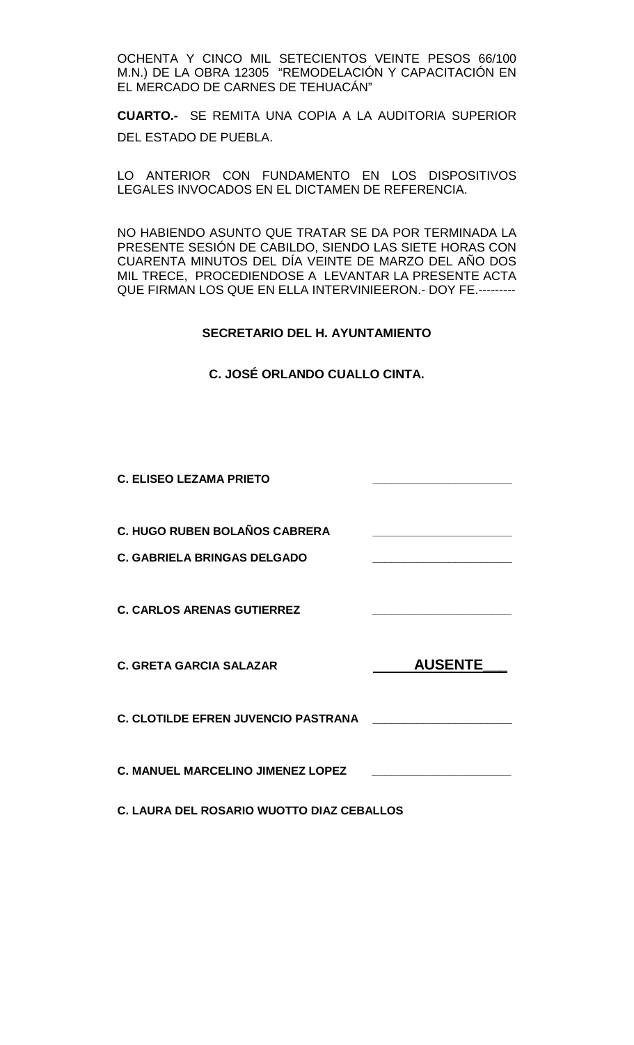OCHENTA Y CINCO MIL SETECIENTOS VEINTE PESOS 66/100 M.N.) DE LA OBRA 12305 "REMODELACIÓN Y CAPACITACIÓN EN EL MERCADO DE CARNES DE TEHUACÁN"

**CUARTO.-** SE REMITA UNA COPIA A LA AUDITORIA SUPERIOR DEL ESTADO DE PUEBLA.

LO ANTERIOR CON FUNDAMENTO EN LOS DISPOSITIVOS LEGALES INVOCADOS EN EL DICTAMEN DE REFERENCIA.

NO HABIENDO ASUNTO QUE TRATAR SE DA POR TERMINADA LA PRESENTE SESIÓN DE CABILDO, SIENDO LAS SIETE HORAS CON CUARENTA MINUTOS DEL DÍA VEINTE DE MARZO DEL AÑO DOS MIL TRECE, PROCEDIENDOSE A LEVANTAR LA PRESENTE ACTA QUE FIRMAN LOS QUE EN ELLA INTERVINIEERON.- DOY FE.---------

## **SECRETARIO DEL H. AYUNTAMIENTO**

**C. JOSÉ ORLANDO CUALLO CINTA.**

| <b>C. ELISEO LEZAMA PRIETO</b>                                             |                |
|----------------------------------------------------------------------------|----------------|
| <b>C. HUGO RUBEN BOLAÑOS CABRERA</b><br><b>C. GABRIELA BRINGAS DELGADO</b> |                |
| <b>C. CARLOS ARENAS GUTIERREZ</b>                                          |                |
| <b>C. GRETA GARCIA SALAZAR</b>                                             | <b>AUSENTE</b> |
| <b>C. CLOTILDE EFREN JUVENCIO PASTRANA</b>                                 |                |
| <b>C. MANUEL MARCELINO JIMENEZ LOPEZ</b>                                   |                |

**C. LAURA DEL ROSARIO WUOTTO DIAZ CEBALLOS**